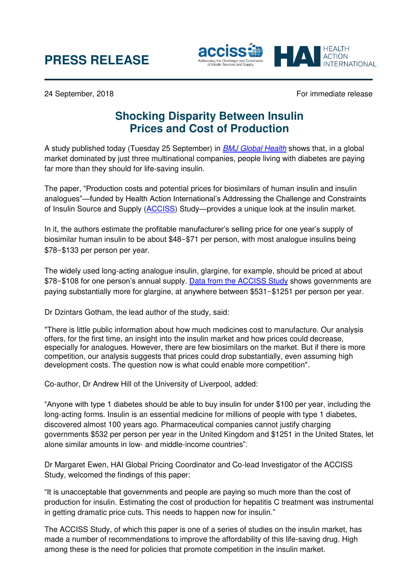# **PRESS RELEASE**



24 September, 2018 **For immediate release** For immediate release

## **Shocking Disparity Between Insulin Prices and Cost of Production**

A study published today (Tuesday 25 September) in *[BMJ Global Health](https://gh.bmj.com/)* shows that, in a global market dominated by just three multinational companies, people living with diabetes are paying far more than they should for life-saving insulin.

The paper, "Production costs and potential prices for biosimilars of human insulin and insulin analogues"—funded by Health Action International's Addressing the Challenge and Constraints of Insulin Source and Supply [\(ACCISS\)](http://haiweb.org/what-we-do/acciss/) Study—provides a unique look at the insulin market.

In it, the authors estimate the profitable manufacturer's selling price for one year's supply of biosimilar human insulin to be about \$48–\$71 per person, with most analogue insulins being \$78–\$133 per person per year.

The widely used long-acting analogue insulin, glargine, for example, should be priced at about \$78–\$108 for one person's annual supply. [Data from the ACCISS Study](http://haiweb.org/wp-content/uploads/2016/04/ACCISS-Prices-report_FINAL-1.pdf) shows governments are paying substantially more for glargine, at anywhere between \$531–\$1251 per person per year.

Dr Dzintars Gotham, the lead author of the study, said:

"There is little public information about how much medicines cost to manufacture. Our analysis offers, for the first time, an insight into the insulin market and how prices could decrease, especially for analogues. However, there are few biosimilars on the market. But if there is more competition, our analysis suggests that prices could drop substantially, even assuming high development costs. The question now is what could enable more competition".

Co-author, Dr Andrew Hill of the University of Liverpool, added:

"Anyone with type 1 diabetes should be able to buy insulin for under \$100 per year, including the long-acting forms. Insulin is an essential medicine for millions of people with type 1 diabetes, discovered almost 100 years ago. Pharmaceutical companies cannot justify charging governments \$532 per person per year in the United Kingdom and \$1251 in the United States, let alone similar amounts in low- and middle-income countries".

Dr Margaret Ewen, HAI Global Pricing Coordinator and Co-lead Investigator of the ACCISS Study, welcomed the findings of this paper:

"It is unacceptable that governments and people are paying so much more than the cost of production for insulin. Estimating the cost of production for hepatitis C treatment was instrumental in getting dramatic price cuts. This needs to happen now for insulin."

The ACCISS Study, of which this paper is one of a series of studies on the insulin market, has made a number of recommendations to improve the affordability of this life-saving drug. High among these is the need for policies that promote competition in the insulin market.